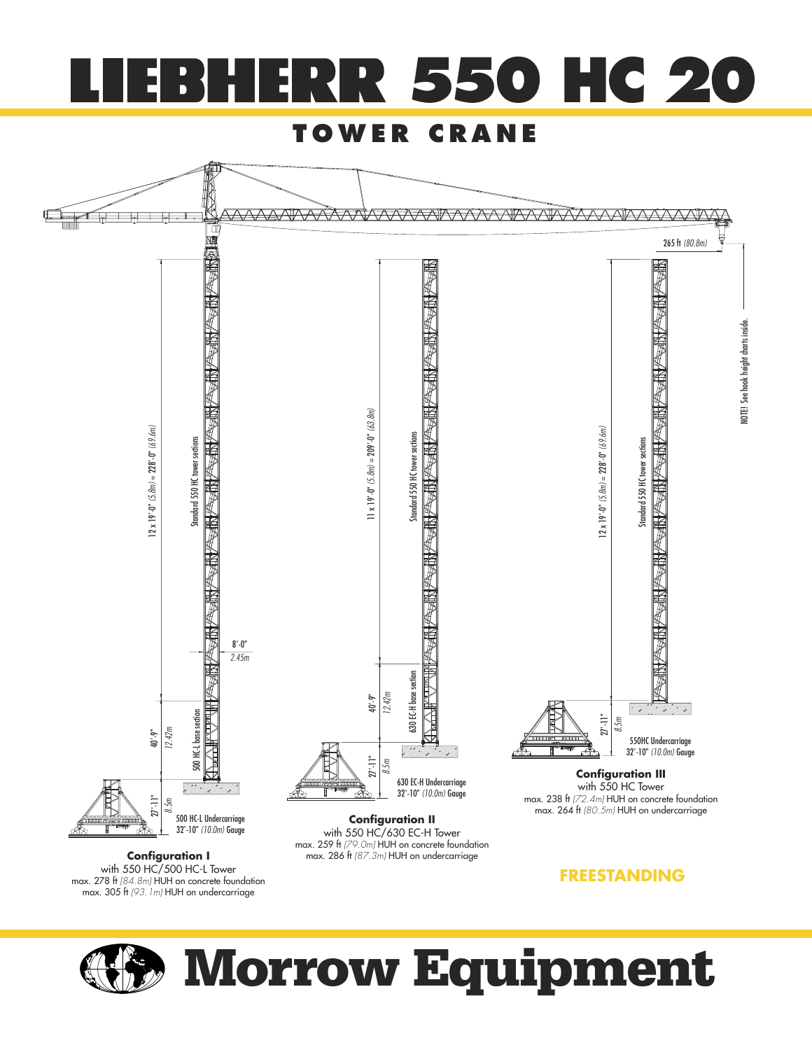

#### **TOWER CRANE**



**Configuration I** max. 286 ft (87.3m) HUH on undercarriage with 550 HC/500 HC-L Tower max. 278 ft (84.8m) HUH on concrete foundation<br>max. 305 ft (93.1m) HUH on undercarriage

**FREESTANDING**



# **Morrow Equipment**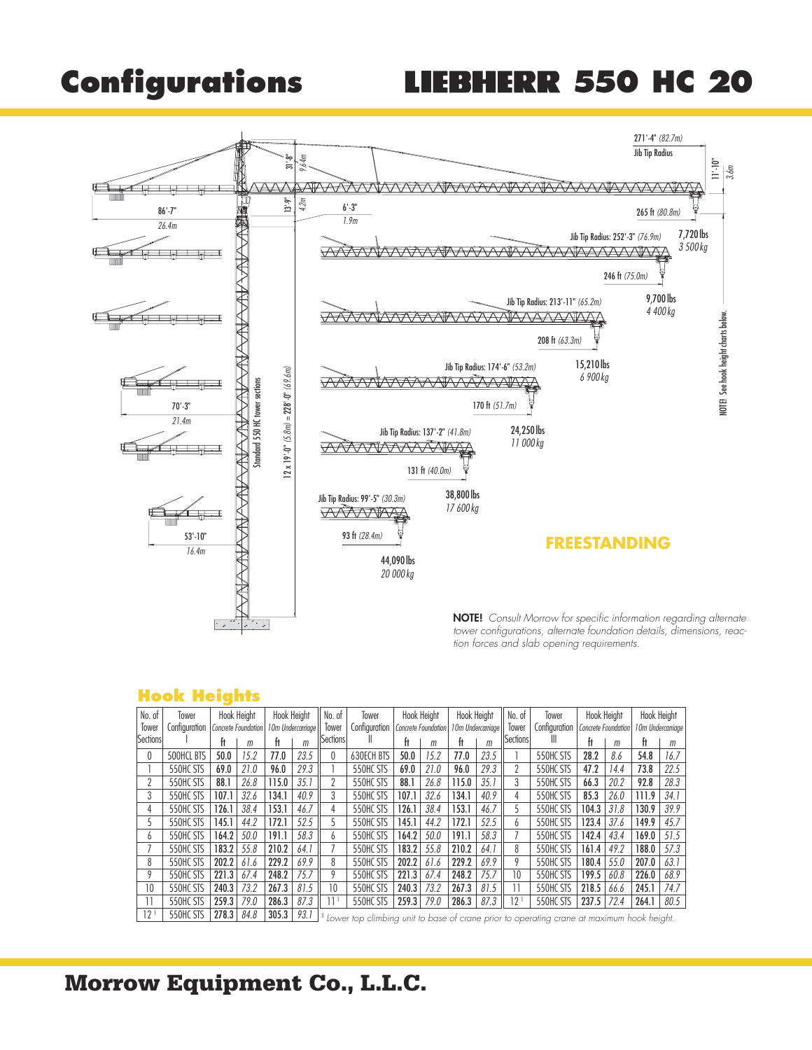### **Configurations LIEBHERR 550 HC 20**



#### **Hook Heights**

| No. of   | Tower         |       | Hook Height         | <b>Hook Height</b> |                   | No. of          | Tower                                                                                                                                                                                                                         |       | Hook Height         | Hook Height       |      | ll No. of       | Tower         | <b>Hook Height</b>  |      | Hook Height |                   |
|----------|---------------|-------|---------------------|--------------------|-------------------|-----------------|-------------------------------------------------------------------------------------------------------------------------------------------------------------------------------------------------------------------------------|-------|---------------------|-------------------|------|-----------------|---------------|---------------------|------|-------------|-------------------|
| Tower    | Configuration |       | Concrete Foundation |                    | 10m Undercarriage | Tower           | Configuration                                                                                                                                                                                                                 |       | Concrete Foundation | 10m Undercarriage |      | Tower           | Configuration | Concrete Foundation |      |             | 10m Undercarriage |
| Sections |               |       | m                   | ft                 | m                 | <b>Sections</b> | Ш                                                                                                                                                                                                                             | ft    | m                   | ft                | m    | Sections        | Ш             | ft                  | m    | ft          | m                 |
| 0        | 500HCL BTS    | 50.0  | 15.2                | 77.0               | 23.5              | $\mathbf{0}$    | 630ECH BTS                                                                                                                                                                                                                    | 50.0  | 15.2                | 77.0              | 23.5 |                 | 550HC STS     | 28.2                | 8.6  | 54.8        | 16.7              |
|          | 550HC STS     | 69.0  | 21.0                | 96.0               | 29.3              |                 | 550HC STS                                                                                                                                                                                                                     | 69.0  | 21.0                | 96.0              | 29.3 |                 | 550HC STS     | 47.2                | 14.4 | 73.8        | 22.5              |
|          | 550HC STS     | 88.1  | 26.8                | 115.0              | 35.1              | 2               | 550HC STS                                                                                                                                                                                                                     | 88.1  | 26.8                | 115.0             | 35.1 | 3               | 550HC STS     | 66.3                | 20.2 | 92.8        | 28.3              |
| 3        | 550HC STS     | 107.1 | 32.6                | 134.1              | 40.9              | 3               | 550HC STS                                                                                                                                                                                                                     | 107.1 | 32.6                | 134.1             | 40.9 | 4               | 550HC STS     | 85.3                | 26.0 | 111.9       | 34.1              |
| 4        | 550HC STS     | 126.1 | 38.4                | 153.1              | 46.7              | 4               | 550HC STS                                                                                                                                                                                                                     | 126.1 | 38.4                | 153.1             | 46.7 |                 | 550HC STS     | 104.3               | 31.8 | 130.9       | 39.9              |
|          | 550HC STS     | 145.1 | 44.2                | 172.1              | 52.5              |                 | 550HC STS                                                                                                                                                                                                                     | 145.1 | 44.2                | 172.1             | 52.5 | h               | 550HC STS     | 123.4               | 37.6 | 149.9       | 45.7              |
| h.       | 550HC STS     | 164.2 | 50.0                | 191.1              | 58.3              | h.              | 550HC STS                                                                                                                                                                                                                     | 164.2 | 50.0                | 191.1             | 58.3 |                 | 550HC STS     | 142.4               | 43.4 | 169.0       | 51.5              |
|          | 550HC STS     | 183.2 | 55.8                | 210.2              | 64.1              |                 | 550HC STS                                                                                                                                                                                                                     | 183.2 | 55.8                | 210.2             | 64.1 | 8               | 550HC STS     | 161.4               | 49.2 | 188.0       | 57.3              |
| 8        | 550HC STS     | 202.2 | 61.6                | 229.2              | 69.9              | 8               | 550HC STS                                                                                                                                                                                                                     | 202.2 | 61.6                | 229.2             | 69.9 | 9               | 550HC STS     | 180.4               | 55.0 | 207.0       | 63.1              |
| 9        | 550HC STS     | 221.3 | 67.4                | 248.2              | 75.7              | 9               | 550HC STS                                                                                                                                                                                                                     | 221.3 | 67.4                | 248.2             | 75.7 | 10              | 550HC STS     | 199.5               | 60.8 | 226.0       | 68.9              |
| 10       | 550HC STS     | 240.3 | 73.2                | 267.3              | 81.5              | 10              | 550HC STS                                                                                                                                                                                                                     | 240.3 | 73.2                | 267.3             | 81.5 |                 | 550HC STS     | 218.5               | 66.6 | 245.1       | 74.7              |
|          | 550HC STS     | 259.3 | 79.0                | 286.3              | 87.3              | 11 <sup>1</sup> | 550HC STS                                                                                                                                                                                                                     | 259.3 | 79.0                | 286.3             | 87.3 | 12 <sup>1</sup> | 550HC STS     | 237.5               | 72.4 | 264.1       | 80.5              |
| 121      | 550HC STS     | 2783  | 848                 | 3053               | 931               |                 | and the first contract of the contract of the contract of the contract of the contract of the contract of the contract of the contract of the contract of the contract of the contract of the contract of the contract of the |       |                     |                   |      |                 |               |                     |      |             |                   |

 $12'$   $\mid$  550HC STS  $\mid$  278.3  $\mid$  84.8  $\mid$  305.3  $\mid$  93.1  $\mid$  1 Lower top climbing unit to base of crane prior to operating crane at maximum hook height.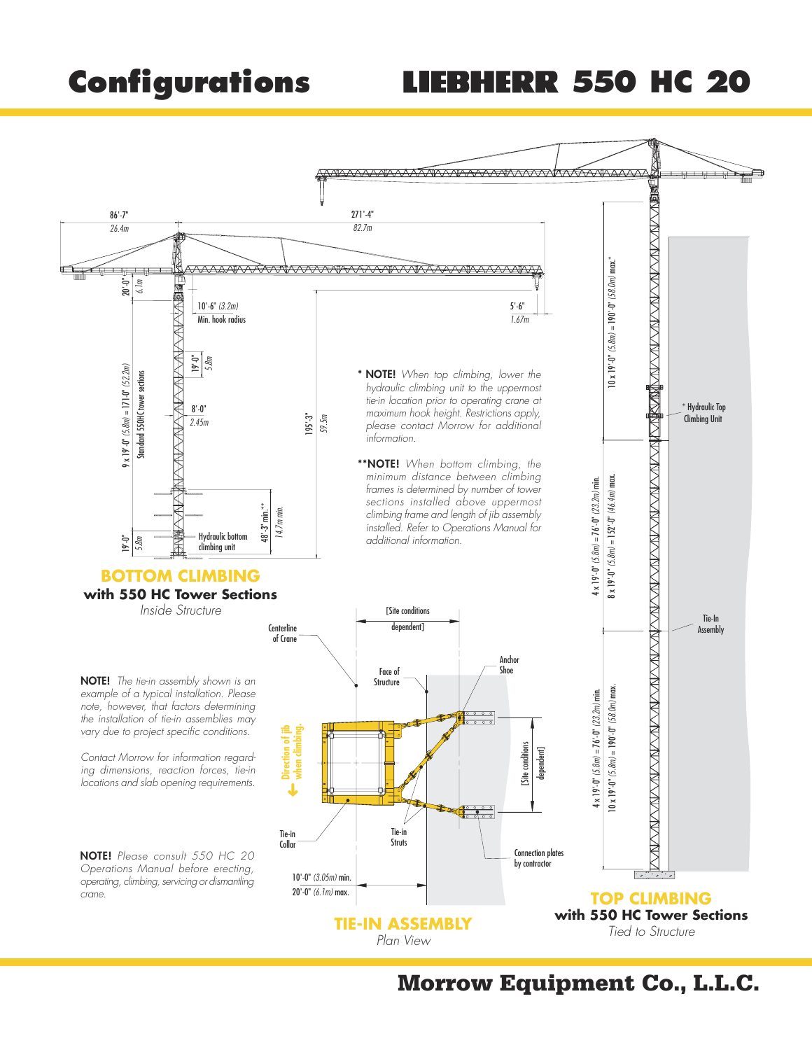## **Configurations LIEBHERR 550 HC 20**

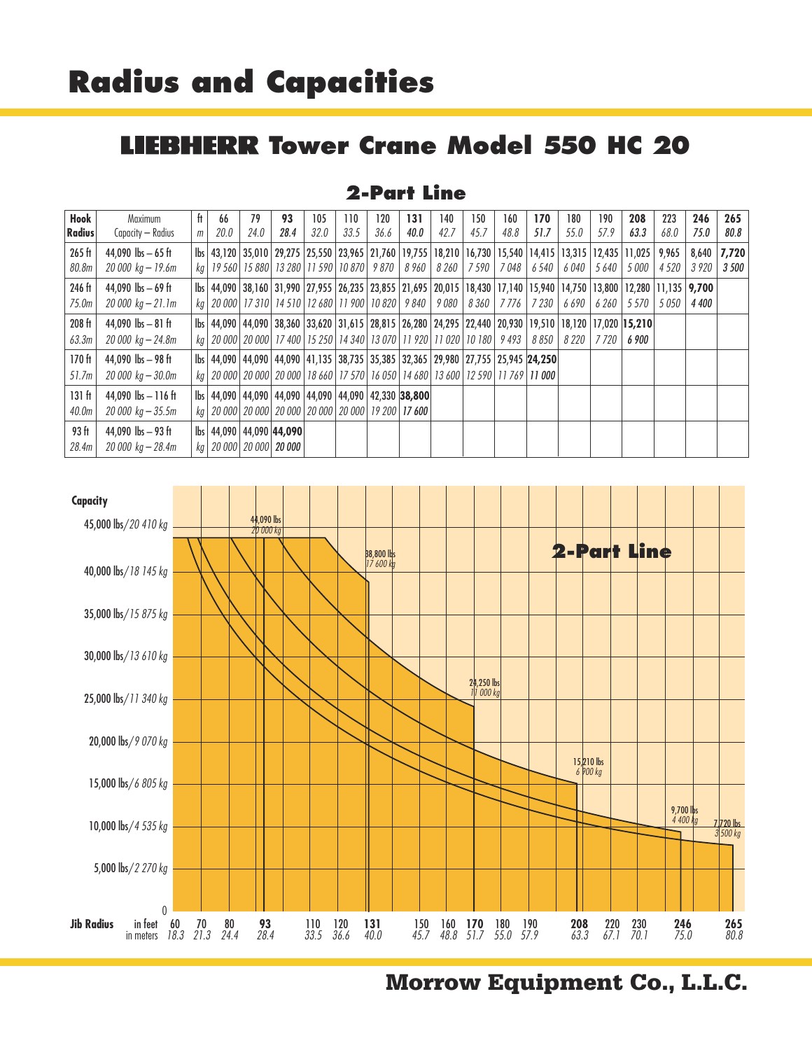#### **IEBHERR Tower Crane Model 550 HC 20** IJ

#### **2-Part Line**

| Hook<br><b>Radius</b>                  | Maximum<br>Capacity — Radius                                              | ft<br>m | 66<br>20.0 | 79<br>24.0 | 93<br>28.4                                                                                                                                                                                                               | 105<br>32.0 | 110<br>33.5 | 120<br>36.6 | 131<br>40.0 | 140<br>42.7 | 150<br>45.7 | 160<br>48.8 | 170<br>51.7 | 180<br>55.0 | 190<br>57.9 | 208<br>63.3                                                                                                                                                   | 223<br>68.0     | 246<br>75.0   | 265<br>80.8    |
|----------------------------------------|---------------------------------------------------------------------------|---------|------------|------------|--------------------------------------------------------------------------------------------------------------------------------------------------------------------------------------------------------------------------|-------------|-------------|-------------|-------------|-------------|-------------|-------------|-------------|-------------|-------------|---------------------------------------------------------------------------------------------------------------------------------------------------------------|-----------------|---------------|----------------|
| 265 ft<br>80.8m                        | 44,090 $\text{lbs} - 65 \text{ ft}$<br>$20000 \text{ kg} - 19.6 \text{m}$ |         |            |            | kg   19 560   15 880   13 280   11 590   10 870   9 870   8 960   8 260   7 590                                                                                                                                          |             |             |             |             |             |             | 7 048       | 6 540       | 6 040       | 5 640       | lbs   43,120   35,010   29,275   25,550   23,965   21,760   19,755   18,210   16,730   15,540   14,415   13,315   12,435   11,025  <br>5 000                  | 9,965<br>4 5 20 | 8,640<br>3920 | 7,720<br>3 500 |
| 246 ft<br>75.0m                        | 44.090 $\rm{lbs} - 69$ ft<br>$20000 kg - 21.1m$                           |         |            |            | kg   20 000   17 310   14 510   12 680   11 900   10 820   9 840   9 080                                                                                                                                                 |             |             |             |             |             |             | 8360 7776   | 7 230       | 6 6 9 0     | 6 260       | lbs   44,090   38,160   31,990   27,955   26,235   23,855   21,695   20,015   18,430   17,140   15,940   14,750   13,800   12,280   11,135   9,700<br>5 5 7 0 | 5 0 5 0         | 4 4 0 0       |                |
| 208 ft<br>63.3m                        | 44,090 $\rm{lbs} - 81 \rm{ft}$<br>$20\,000\,$ kg $-24.8$ m                |         |            |            | kg   20 000   20 000   17 400   15 250   14 340   13 070   11 920   11 020   10 180   9 493                                                                                                                              |             |             |             |             |             |             |             | 8 850       | 8220        | 7720        | bs   44,090   44,090   38,360   33,620   31,615   28,815   26,280   24,295   22,440   20,930   19,510   18,120   17,020   15,210<br>6 900                     |                 |               |                |
| 170 <sub>ft</sub><br>51.7m             | 44.090 $\text{lbs} - 98 \text{ ft}$<br>$20000 kg - 30.0m$                 |         |            |            | lbs   44,090   44,090   44,090   41,135   38,735   35,385   32,365   29,980   27,755   25,945   24,250  <br>ka   20 000   20 000   20 000   18 660   17 570   16 050   14 680   13 600   12 590   11 769   <b>11 000</b> |             |             |             |             |             |             |             |             |             |             |                                                                                                                                                               |                 |               |                |
| 131 <sub>ft</sub><br>40.0 <sub>m</sub> | 44.090 $\text{lbs} - 116 \text{ ft}$<br>$20000\ \text{kg} - 35.5\text{m}$ |         |            |            | lbs   44.090   44.090   44.090   44.090   44.090   42.330   38.800  <br>kg   20 000   20 000   20 000   20 000   20 000   19 200   17 600                                                                                |             |             |             |             |             |             |             |             |             |             |                                                                                                                                                               |                 |               |                |
| 93 ft<br>28.4m                         | 44.090 $\rm{lbs} - 93$ ft<br>$20\,000\,$ kg $ 28.4$ m                     |         |            |            | lbs   44,090   44,090   44,090  <br>kg   20 000   20 000   20 000                                                                                                                                                        |             |             |             |             |             |             |             |             |             |             |                                                                                                                                                               |                 |               |                |

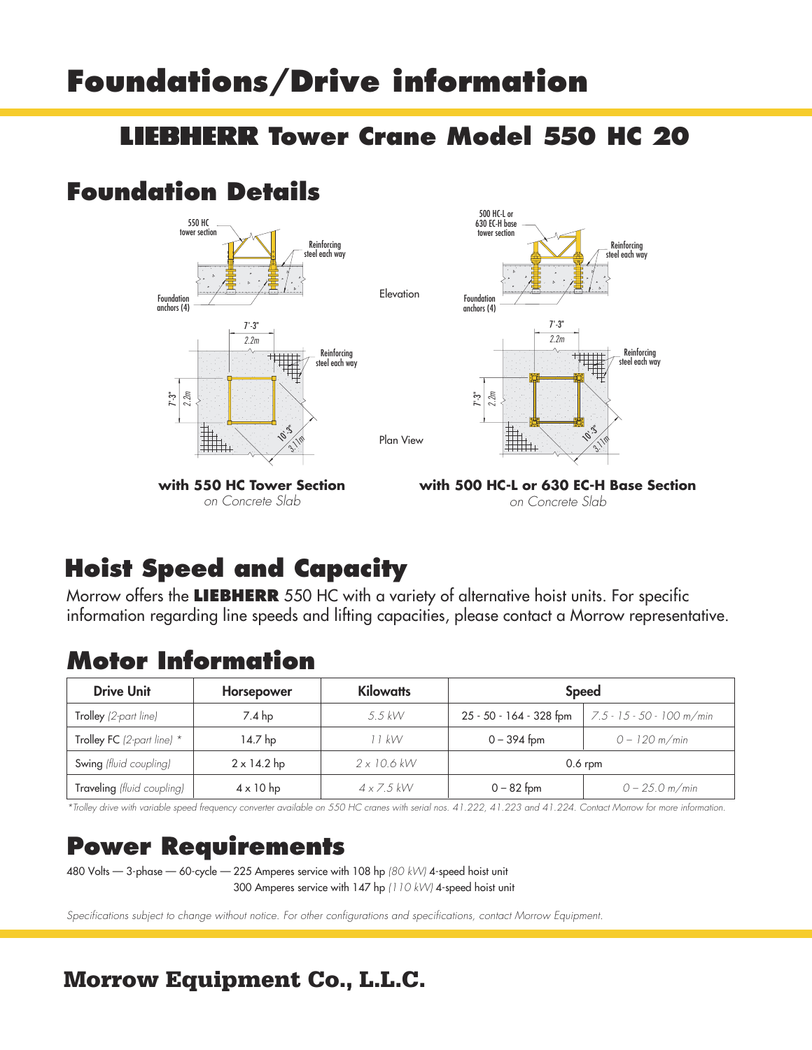## **Foundations/Drive information**

#### **Tower Crane Model 550 HC 20**

### **Foundation Details**





**with 550 HC Tower Section** on Concrete Slab

**with 500 HC-L or 630 EC-H Base Section** on Concrete Slab

### **Hoist Speed and Capacity**

Morrow offers the **LIEBHERR** 550 HC with a variety of alternative hoist units. For specific information regarding line speeds and lifting capacities, please contact a Morrow representative.

Plan View

**Elevation** 

#### **Motor Information**

| <b>Drive Unit</b>            | Horsepower         | <b>Kilowatts</b>   | <b>Speed</b>            |                           |  |  |  |
|------------------------------|--------------------|--------------------|-------------------------|---------------------------|--|--|--|
| Trolley (2-part line)        | $7.4$ hp           | $5.5$ kW           | 25 - 50 - 164 - 328 fpm | 7.5 - 15 - 50 - 100 m/min |  |  |  |
| Trolley FC (2-part line) $*$ | 14.7 hp            | 11 kW              | $0 - 394$ fpm           | $0 - 120$ m/min           |  |  |  |
| Swing (fluid coupling)       | $2 \times 14.2$ hp | $2 \times 10.6$ kW |                         | $0.6$ rpm                 |  |  |  |
| Traveling (fluid coupling)   | $4 \times 10$ hp   | $4 \times 7.5$ kW  | $0 - 82$ fpm            | $0 - 25.0$ m/min          |  |  |  |

\*Trolley drive with variable speed frequency converter available on 550 HC cranes with serial nos. 41.222, 41.223 and 41.224. Contact Morrow for more information.

### **Power Requirements**

480 Volts — 3-phase — 60-cycle — 225 Amperes service with 108 hp (80 kW) 4-speed hoist unit 300 Amperes service with 147 hp (110 kW) 4-speed hoist unit

Specifications subject to change without notice. For other configurations and specifications, contact Morrow Equipment.